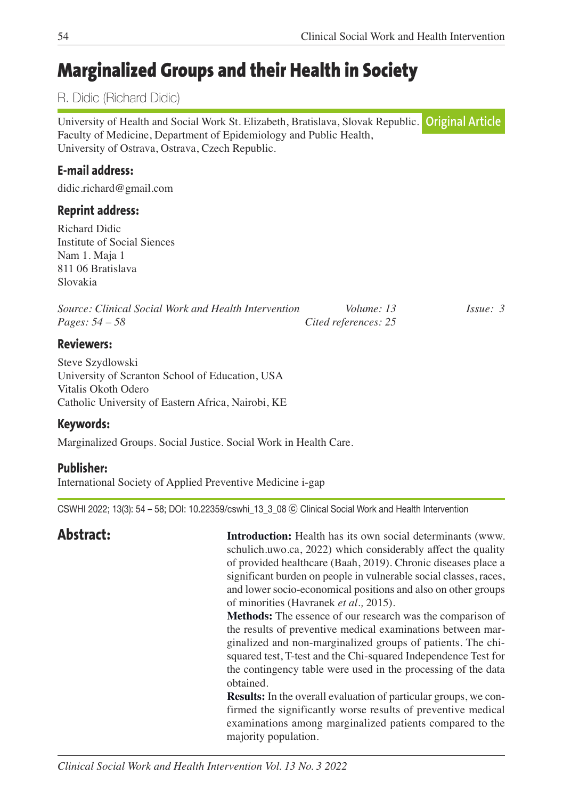# **Marginalized Groups and their Health in Society**

# R. Didic (Richard Didic)

University of Health and Social Work St. Elizabeth, Bratislava, Slovak Republic. Faculty of Medicine, Department of Epidemiology and Public Health, University of Ostrava, Ostrava, Czech Republic. **Original Article**

# **E-mail address:**

didic.richard@gmail.com

# **Reprint address:**

Richard Didic Institute of Social Siences Nam 1. Maja 1 811 06 Bratislava Slovakia

| Source: Clinical Social Work and Health Intervention | Volume: 13           | $I_{S51}$ $\ell$ : 3 |
|------------------------------------------------------|----------------------|----------------------|
| <i>Pages:</i> $54 - 58$                              | Cited references: 25 |                      |

### **Reviewers:**

Steve Szydlowski University of Scranton School of Education, USA Vitalis Okoth Odero Catholic University of Eastern Africa, Nairobi, KE

### **Keywords:**

Marginalized Groups. Social Justice. Social Work in Health Care.

### **Publisher:**

International Society of Applied Preventive Medicine i-gap

CSWHI 2022; 13(3): 54 – 58; DOI: 10.22359/cswhi\_13\_3\_08 ⓒ Clinical Social Work and Health Intervention

**Abstract: Introduction:** Health has its own social determinants (www. schulich.uwo.ca, 2022) which considerably affect the quality of provided healthcare (Baah, 2019). Chronic diseases place a significant burden on people in vulnerable social classes, races, and lower socio-economical positions and also on other groups of minorities (Havranek *et al.,* 2015).

> **Methods:** The essence of our research was the comparison of the results of preventive medical examinations between marginalized and non-marginalized groups of patients. The chisquared test, T-test and the Chi-squared Independence Test for the contingency table were used in the processing of the data obtained.

> **Results:** In the overall evaluation of particular groups, we confirmed the significantly worse results of preventive medical examinations among marginalized patients compared to the majority population.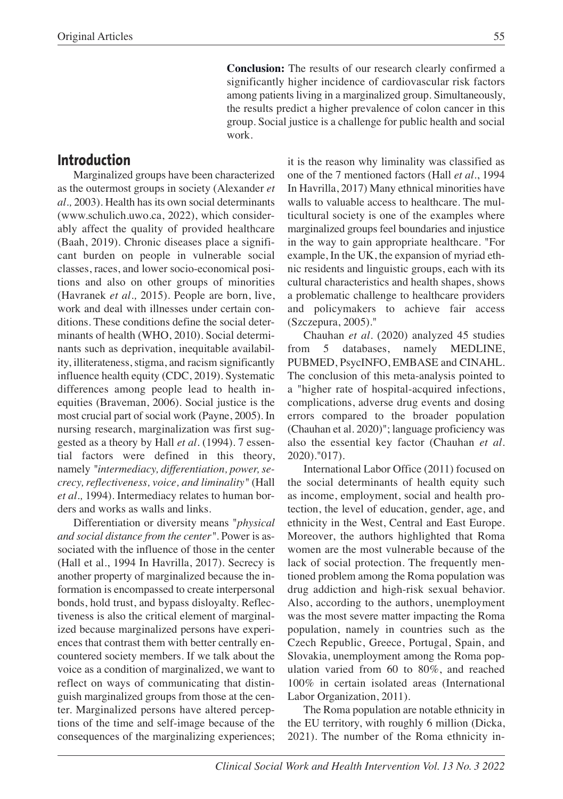**Conclusion:** The results of our research clearly confirmed a significantly higher incidence of cardiovascular risk factors among patients living in a marginalized group. Simultaneously, the results predict a higher prevalence of colon cancer in this group. Social justice is a challenge for public health and social work.

# **Introduction**

Marginalized groups have been characterized as the outermost groups in society (Alexander *et al.,* 2003). Health has its own social determinants (www.schulich.uwo.ca, 2022), which considerably affect the quality of provided healthcare (Baah, 2019). Chronic diseases place a significant burden on people in vulnerable social classes, races, and lower socio-economical positions and also on other groups of minorities (Havranek *et al.,* 2015). People are born, live, work and deal with illnesses under certain conditions. These conditions define the social determinants of health (WHO, 2010). Social determinants such as deprivation, inequitable availability, illiterateness, stigma, and racism significantly influence health equity (CDC, 2019). Systematic differences among people lead to health inequities (Braveman, 2006). Social justice is the most crucial part of social work (Payne, 2005). In nursing research, marginalization was first suggested as a theory by Hall *et al.* (1994). 7 essential factors were defined in this theory, namely *"intermediacy, differentiation, power, secrecy, reflectiveness, voice, and liminality"* (Hall *et al.,* 1994). Intermediacy relates to human borders and works as walls and links.

Differentiation or diversity means "*physical and social distance from the center".* Power is associated with the influence of those in the center (Hall et al., 1994 In Havrilla, 2017). Secrecy is another property of marginalized because the information is encompassed to create interpersonal bonds, hold trust, and bypass disloyalty. Reflectiveness is also the critical element of marginalized because marginalized persons have experiences that contrast them with better centrally encountered society members. If we talk about the voice as a condition of marginalized, we want to reflect on ways of communicating that distinguish marginalized groups from those at the center. Marginalized persons have altered perceptions of the time and self-image because of the consequences of the marginalizing experiences;

it is the reason why liminality was classified as one of the 7 mentioned factors (Hall *et al*., 1994 In Havrilla, 2017) Many ethnical minorities have walls to valuable access to healthcare. The multicultural society is one of the examples where marginalized groups feel boundaries and injustice in the way to gain appropriate healthcare. "For example, In the UK, the expansion of myriad ethnic residents and linguistic groups, each with its cultural characteristics and health shapes, shows a problematic challenge to healthcare providers and policymakers to achieve fair access (Szczepura, 2005)."

Chauhan *et al.* (2020) analyzed 45 studies from 5 databases, namely MEDLINE, PUBMED, PsycINFO, EMBASE and CINAHL. The conclusion of this meta-analysis pointed to a "higher rate of hospital-acquired infections, complications, adverse drug events and dosing errors compared to the broader population (Chauhan et al. 2020)"; language proficiency was also the essential key factor (Chauhan *et al*. 2020)."017).

International Labor Office (2011) focused on the social determinants of health equity such as income, employment, social and health protection, the level of education, gender, age, and ethnicity in the West, Central and East Europe. Moreover, the authors highlighted that Roma women are the most vulnerable because of the lack of social protection. The frequently mentioned problem among the Roma population was drug addiction and high-risk sexual behavior. Also, according to the authors, unemployment was the most severe matter impacting the Roma population, namely in countries such as the Czech Republic, Greece, Portugal, Spain, and Slovakia, unemployment among the Roma population varied from 60 to 80%, and reached 100% in certain isolated areas (International Labor Organization, 2011).

The Roma population are notable ethnicity in the EU territory, with roughly 6 million (Dicka, 2021). The number of the Roma ethnicity in-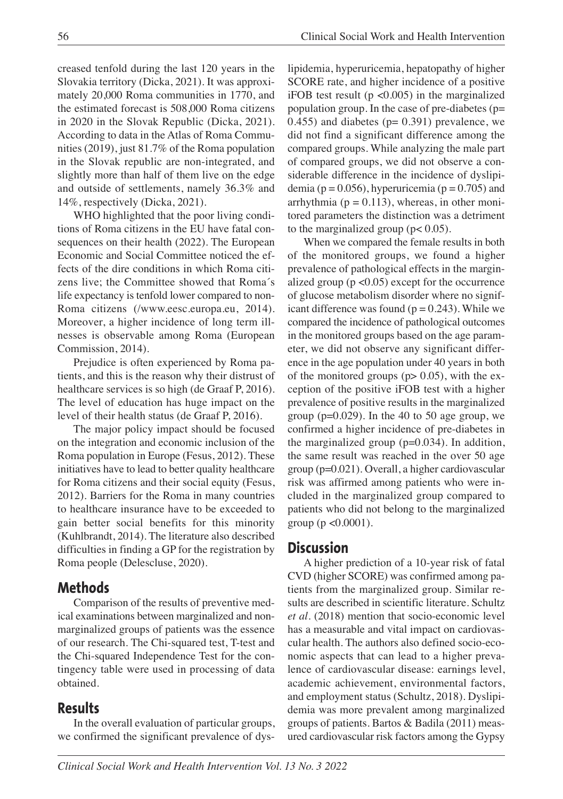creased tenfold during the last 120 years in the Slovakia territory (Dicka, 2021). It was approximately 20,000 Roma communities in 1770, and the estimated forecast is 508,000 Roma citizens in 2020 in the Slovak Republic (Dicka, 2021). According to data in the Atlas of Roma Communities (2019), just 81.7% of the Roma population in the Slovak republic are non-integrated, and slightly more than half of them live on the edge and outside of settlements, namely 36.3% and 14%, respectively (Dicka, 2021).

WHO highlighted that the poor living conditions of Roma citizens in the EU have fatal consequences on their health (2022). The European Economic and Social Committee noticed the effects of the dire conditions in which Roma citizens live; the Committee showed that Roma´s life expectancy is tenfold lower compared to non-Roma citizens (/www.eesc.europa.eu, 2014). Moreover, a higher incidence of long term illnesses is observable among Roma (European Commission, 2014).

Prejudice is often experienced by Roma patients, and this is the reason why their distrust of healthcare services is so high (de Graaf P, 2016). The level of education has huge impact on the level of their health status (de Graaf P, 2016).

The major policy impact should be focused on the integration and economic inclusion of the Roma population in Europe (Fesus, 2012). These initiatives have to lead to better quality healthcare for Roma citizens and their social equity (Fesus, 2012). Barriers for the Roma in many countries to healthcare insurance have to be exceeded to gain better social benefits for this minority (Kuhlbrandt, 2014). The literature also described difficulties in finding a GP for the registration by Roma people (Delescluse, 2020).

# **Methods**

Comparison of the results of preventive medical examinations between marginalized and nonmarginalized groups of patients was the essence of our research. The Chi-squared test, T-test and the Chi-squared Independence Test for the contingency table were used in processing of data obtained.

# **Results**

In the overall evaluation of particular groups, we confirmed the significant prevalence of dyslipidemia, hyperuricemia, hepatopathy of higher SCORE rate, and higher incidence of a positive iFOB test result ( $p \le 0.005$ ) in the marginalized population group. In the case of pre-diabetes (p= 0.455) and diabetes ( $p= 0.391$ ) prevalence, we did not find a significant difference among the compared groups. While analyzing the male part of compared groups, we did not observe a considerable difference in the incidence of dyslipidemia ( $p = 0.056$ ), hyperuricemia ( $p = 0.705$ ) and arrhythmia ( $p = 0.113$ ), whereas, in other monitored parameters the distinction was a detriment to the marginalized group  $(p< 0.05)$ .

When we compared the female results in both of the monitored groups, we found a higher prevalence of pathological effects in the marginalized group  $(p \le 0.05)$  except for the occurrence of glucose metabolism disorder where no significant difference was found  $(p = 0.243)$ . While we compared the incidence of pathological outcomes in the monitored groups based on the age parameter, we did not observe any significant difference in the age population under 40 years in both of the monitored groups  $(p> 0.05)$ , with the exception of the positive iFOB test with a higher prevalence of positive results in the marginalized group ( $p=0.029$ ). In the 40 to 50 age group, we confirmed a higher incidence of pre-diabetes in the marginalized group (p=0.034). In addition, the same result was reached in the over 50 age group (p=0.021). Overall, a higher cardiovascular risk was affirmed among patients who were included in the marginalized group compared to patients who did not belong to the marginalized group ( $p < 0.0001$ ).

### **Discussion**

A higher prediction of a 10-year risk of fatal CVD (higher SCORE) was confirmed among patients from the marginalized group. Similar results are described in scientific literature. Schultz *et al.* (2018) mention that socio-economic level has a measurable and vital impact on cardiovascular health. The authors also defined socio-economic aspects that can lead to a higher prevalence of cardiovascular disease: earnings level, academic achievement, environmental factors, and employment status (Schultz, 2018). Dyslipidemia was more prevalent among marginalized groups of patients. Bartos & Badila (2011) measured cardiovascular risk factors among the Gypsy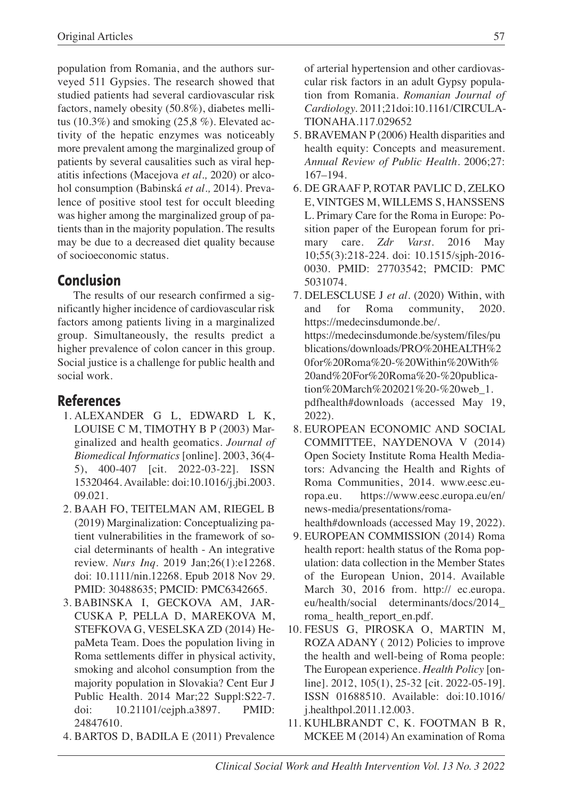population from Romania, and the authors surveyed 511 Gypsies. The research showed that studied patients had several cardiovascular risk factors, namely obesity (50.8%), diabetes mellitus (10.3%) and smoking (25,8%). Elevated activity of the hepatic enzymes was noticeably more prevalent among the marginalized group of patients by several causalities such as viral hepatitis infections (Macejova *et al.,* 2020) or alcohol consumption (Babinská *et al.,* 2014). Prevalence of positive stool test for occult bleeding was higher among the marginalized group of patients than in the majority population. The results may be due to a decreased diet quality because of socioeconomic status.

# **Conclusion**

The results of our research confirmed a significantly higher incidence of cardiovascular risk factors among patients living in a marginalized group. Simultaneously, the results predict a higher prevalence of colon cancer in this group. Social justice is a challenge for public health and social work.

# **References**

- 1. ALEXANDER G L, EDWARD L K, LOUISE C M, TIMOTHY B P (2003) Marginalized and health geomatics. *Journal of Biomedical Informatics* [online]. 2003, 36(4- 5), 400-407 [cit. 2022-03-22]. ISSN 15320464. Available: doi:10.1016/j.jbi.2003. 09.021.
- 2. BAAH FO, TEITELMAN AM, RIEGEL B (2019) Marginalization: Conceptualizing patient vulnerabilities in the framework of social determinants of health - An integrative review. *Nurs Inq*. 2019 Jan;26(1):e12268. doi: 10.1111/nin.12268. Epub 2018 Nov 29. PMID: 30488635; PMCID: PMC6342665.
- 3. BABINSKA I, GECKOVA AM, JAR-CUSKA P, PELLA D, MAREKOVA M, STEFKOVA G, VESELSKA ZD (2014) HepaMeta Team. Does the population living in Roma settlements differ in physical activity, smoking and alcohol consumption from the majority population in Slovakia? Cent Eur J Public Health. 2014 Mar;22 Suppl:S22-7. doi: 10.21101/cejph.a3897. PMID: 24847610.
- 4. BARTOS D, BADILA E (2011) Prevalence

of arterial hypertension and other cardiovascular risk factors in an adult Gypsy population from Romania. *Romanian Journal of Cardiology.* 2011;21doi:10.1161/CIRCULA-TIONAHA.117.029652

- 5. BRAVEMAN P (2006) Health disparities and health equity: Concepts and measurement. *Annual Review of Public Health*. 2006;27: 167–194.
- 6. DE GRAAF P, ROTAR PAVLIC D, ZELKO E, VINTGES M, WILLEMS S, HANSSENS L. Primary Care for the Roma in Europe: Position paper of the European forum for primary care. *Zdr Varst*. 2016 May 10;55(3):218-224. doi: 10.1515/sjph-2016- 0030. PMID: 27703542; PMCID: PMC 5031074.
- 7. DELESCLUSE J *et al.* (2020) Within, with and for Roma community, 2020. https://medecinsdumonde.be/. https://medecinsdumonde.be/system/files/pu blications/downloads/PRO%20HEALTH%2 0for%20Roma%20-%20Within%20With% 20and%20For%20Roma%20-%20publication%20March%202021%20-%20web\_1. pdfhealth#downloads (accessed May 19, 2022).
- 8. EUROPEAN ECONOMIC AND SOCIAL COMMITTEE, NAYDENOVA V (2014) Open Society Institute Roma Health Mediators: Advancing the Health and Rights of Roma Communities, 2014. www.eesc.europa.eu. https://www.eesc.europa.eu/en/ news-media/presentations/roma-

health#downloads (accessed May 19, 2022).

- 9. EUROPEAN COMMISSION (2014) Roma health report: health status of the Roma population: data collection in the Member States of the European Union, 2014. Available March 30, 2016 from. http:// ec.europa. eu/health/social determinants/docs/2014\_ roma\_ health\_report\_en.pdf.
- 10. FESUS G, PIROSKA O, MARTIN M, ROZA ADANY ( 2012) Policies to improve the health and well-being of Roma people: The European experience. *Health Policy* [online]. 2012, 105(1), 25-32 [cit. 2022-05-19]. ISSN 01688510. Available: doi:10.1016/ j.healthpol.2011.12.003.
- 11. KUHLBRANDT C, K. FOOTMAN B R, MCKEE M (2014) An examination of Roma